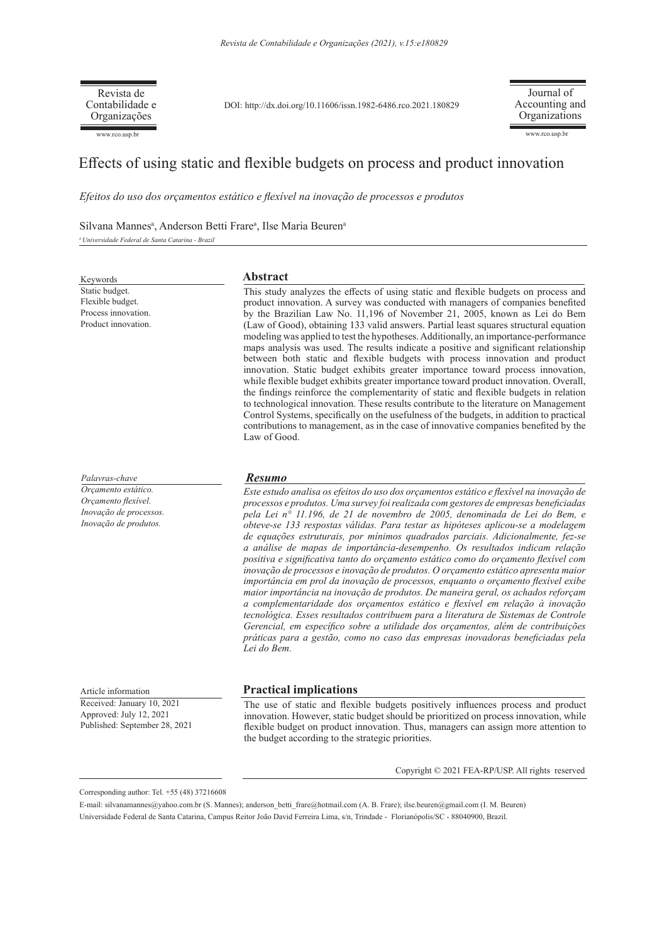Revista de Contabilidade e Organizações

w.rco.usp.br

DOI: http://dx.doi.org/10.11606/issn.1982-6486.rco.2021.180829

Journal of Accounting and Organizations

www.rco.usp.br

# Effects of using static and flexible budgets on process and product innovation

*Efeitos do uso dos orçamentos estático e flexível na inovação de processos e produtos*

### Silvana Mannes<sup>a</sup>, Anderson Betti Frare<sup>a</sup>, Ilse Maria Beuren<sup>a</sup>

*a Universidade Federal de Santa Catarina - Brazil*

This study analyzes the effects of using static and flexible budgets on process and product innovation. A survey was conducted with managers of companies benefited by the Brazilian Law No. 11,196 of November 21, 2005, known as Lei do Bem (Law of Good), obtaining 133 valid answers. Partial least squares structural equation modeling was applied to test the hypotheses. Additionally, an importance-performance maps analysis was used. The results indicate a positive and significant relationship between both static and flexible budgets with process innovation and product innovation. Static budget exhibits greater importance toward process innovation, while flexible budget exhibits greater importance toward product innovation. Overall, the findings reinforce the complementarity of static and flexible budgets in relation to technological innovation. These results contribute to the literature on Management Control Systems, specifically on the usefulness of the budgets, in addition to practical contributions to management, as in the case of innovative companies benefited by the Law of Good. **Abstract** Keywords Static budget. Flexible budget. Process innovation. Product innovation. *Este estudo analisa os efeitos do uso dos orçamentos estático e flexível na inovação de processos e produtos. Uma survey foi realizada com gestores de empresas beneficiadas pela Lei n° 11.196, de 21 de novembro de 2005, denominada de Lei do Bem, e obteve-se 133 respostas válidas. Para testar as hipóteses aplicou-se a modelagem de equações estruturais, por mínimos quadrados parciais. Adicionalmente, fez-se a análise de mapas de importância-desempenho. Os resultados indicam relação positiva e significativa tanto do orçamento estático como do orçamento flexível com inovação de processos e inovação de produtos. O orçamento estático apresenta maior importância em prol da inovação de processos, enquanto o orçamento flexível exibe maior importância na inovação de produtos. De maneira geral, os achados reforçam a complementaridade dos orçamentos estático e flexível em relação à inovação tecnológica. Esses resultados contribuem para a literatura de Sistemas de Controle Resumo Inovação de produtos.* 

*Gerencial, em específico sobre a utilidade dos orçamentos, além de contribuições práticas para a gestão, como no caso das empresas inovadoras beneficiadas pela Lei do Bem.*

#### **Practical implications**

The use of static and flexible budgets positively influences process and product innovation. However, static budget should be prioritized on process innovation, while flexible budget on product innovation. Thus, managers can assign more attention to the budget according to the strategic priorities.

Copyright © 2021 FEA-RP/USP. All rights reserved

Corresponding author: Tel. +55 (48) 37216608

# *Palavras-chave Orçamento estático. Orçamento flexível. Inovação de processos.*

Article information Received: January 10, 2021 Approved: July 12, 2021 Published: September 28, 2021

E-mail: silvanamannes@yahoo.com.br (S. Mannes); anderson betti frare@hotmail.com (A. B. Frare); ilse.beuren@gmail.com (I. M. Beuren) Universidade Federal de Santa Catarina, Campus Reitor João David Ferreira Lima, s/n, Trindade - Florianópolis/SC - 88040900, Brazil.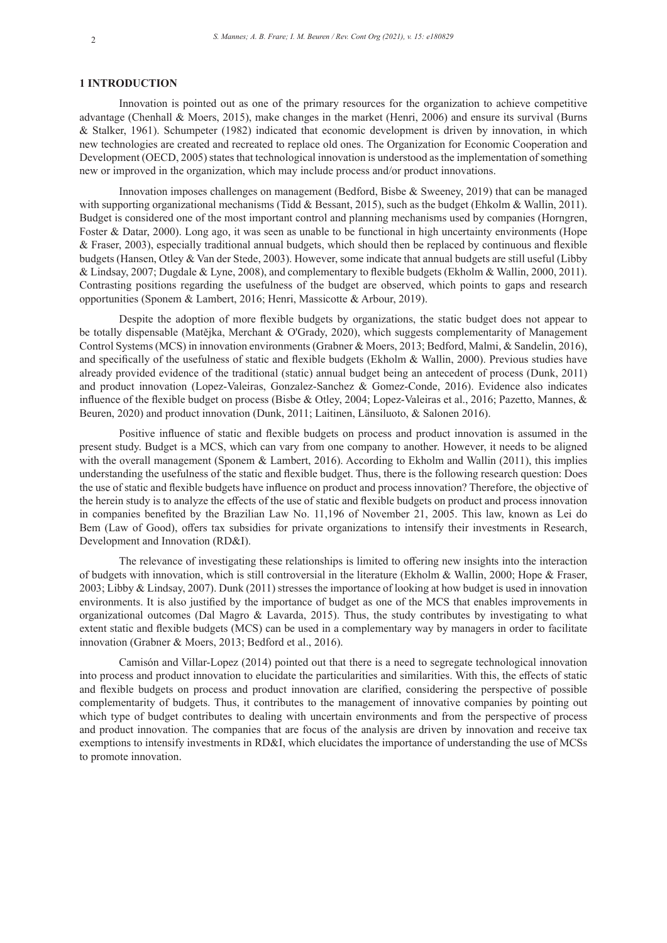#### **1 INTRODUCTION**

Innovation is pointed out as one of the primary resources for the organization to achieve competitive advantage (Chenhall & Moers, 2015), make changes in the market (Henri, 2006) and ensure its survival (Burns & Stalker, 1961). Schumpeter (1982) indicated that economic development is driven by innovation, in which new technologies are created and recreated to replace old ones. The Organization for Economic Cooperation and Development (OECD, 2005) states that technological innovation is understood as the implementation of something new or improved in the organization, which may include process and/or product innovations.

Innovation imposes challenges on management (Bedford, Bisbe & Sweeney, 2019) that can be managed with supporting organizational mechanisms (Tidd & Bessant, 2015), such as the budget (Ehkolm & Wallin, 2011). Budget is considered one of the most important control and planning mechanisms used by companies (Horngren, Foster & Datar, 2000). Long ago, it was seen as unable to be functional in high uncertainty environments (Hope & Fraser, 2003), especially traditional annual budgets, which should then be replaced by continuous and flexible budgets (Hansen, Otley & Van der Stede, 2003). However, some indicate that annual budgets are still useful (Libby & Lindsay, 2007; Dugdale & Lyne, 2008), and complementary to flexible budgets (Ekholm & Wallin, 2000, 2011). Contrasting positions regarding the usefulness of the budget are observed, which points to gaps and research opportunities (Sponem & Lambert, 2016; Henri, Massicotte & Arbour, 2019).

Despite the adoption of more flexible budgets by organizations, the static budget does not appear to be totally dispensable (Matějka, Merchant & O'Grady, 2020), which suggests complementarity of Management Control Systems (MCS) in innovation environments (Grabner & Moers, 2013; Bedford, Malmi, & Sandelin, 2016), and specifically of the usefulness of static and flexible budgets (Ekholm & Wallin, 2000). Previous studies have already provided evidence of the traditional (static) annual budget being an antecedent of process (Dunk, 2011) and product innovation (Lopez-Valeiras, Gonzalez-Sanchez & Gomez-Conde, 2016). Evidence also indicates influence of the flexible budget on process (Bisbe & Otley, 2004; Lopez-Valeiras et al., 2016; Pazetto, Mannes, & Beuren, 2020) and product innovation (Dunk, 2011; Laitinen, Länsiluoto, & Salonen 2016).

Positive influence of static and flexible budgets on process and product innovation is assumed in the present study. Budget is a MCS, which can vary from one company to another. However, it needs to be aligned with the overall management (Sponem & Lambert, 2016). According to Ekholm and Wallin (2011), this implies understanding the usefulness of the static and flexible budget. Thus, there is the following research question: Does the use of static and flexible budgets have influence on product and process innovation? Therefore, the objective of the herein study is to analyze the effects of the use of static and flexible budgets on product and process innovation in companies benefited by the Brazilian Law No. 11,196 of November 21, 2005. This law, known as Lei do Bem (Law of Good), offers tax subsidies for private organizations to intensify their investments in Research, Development and Innovation (RD&I).

The relevance of investigating these relationships is limited to offering new insights into the interaction of budgets with innovation, which is still controversial in the literature (Ekholm & Wallin, 2000; Hope & Fraser, 2003; Libby & Lindsay, 2007). Dunk (2011) stresses the importance of looking at how budget is used in innovation environments. It is also justified by the importance of budget as one of the MCS that enables improvements in organizational outcomes (Dal Magro & Lavarda, 2015). Thus, the study contributes by investigating to what extent static and flexible budgets (MCS) can be used in a complementary way by managers in order to facilitate innovation (Grabner & Moers, 2013; Bedford et al., 2016).

Camisón and Villar-Lopez (2014) pointed out that there is a need to segregate technological innovation into process and product innovation to elucidate the particularities and similarities. With this, the effects of static and flexible budgets on process and product innovation are clarified, considering the perspective of possible complementarity of budgets. Thus, it contributes to the management of innovative companies by pointing out which type of budget contributes to dealing with uncertain environments and from the perspective of process and product innovation. The companies that are focus of the analysis are driven by innovation and receive tax exemptions to intensify investments in RD&I, which elucidates the importance of understanding the use of MCSs to promote innovation.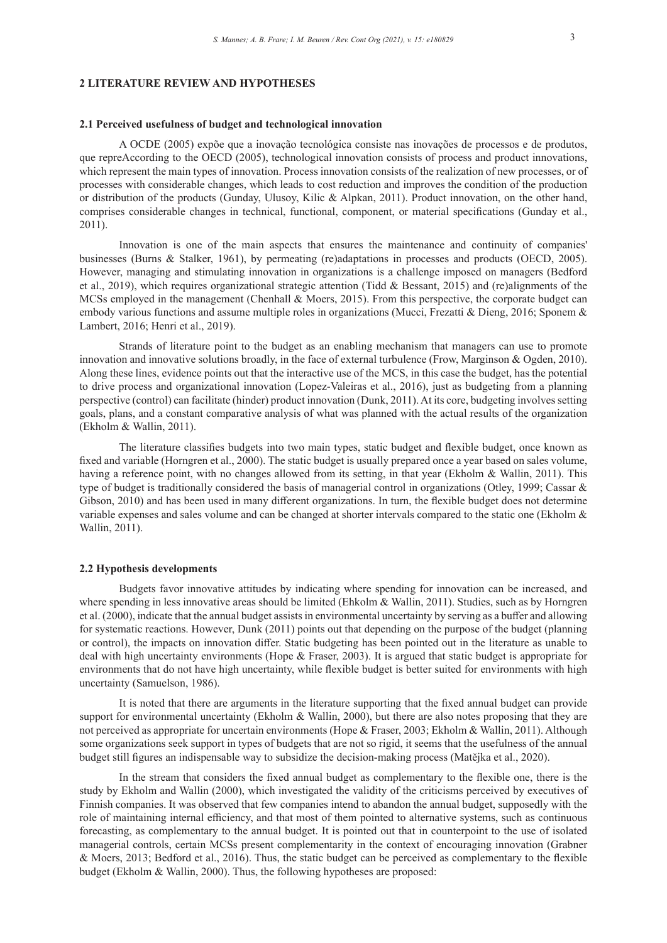### **2 LITERATURE REVIEW AND HYPOTHESES**

### **2.1 Perceived usefulness of budget and technological innovation**

A OCDE (2005) expõe que a inovação tecnológica consiste nas inovações de processos e de produtos, que repreAccording to the OECD (2005), technological innovation consists of process and product innovations, which represent the main types of innovation. Process innovation consists of the realization of new processes, or of processes with considerable changes, which leads to cost reduction and improves the condition of the production or distribution of the products (Gunday, Ulusoy, Kilic & Alpkan, 2011). Product innovation, on the other hand, comprises considerable changes in technical, functional, component, or material specifications (Gunday et al., 2011).

Innovation is one of the main aspects that ensures the maintenance and continuity of companies' businesses (Burns & Stalker, 1961), by permeating (re)adaptations in processes and products (OECD, 2005). However, managing and stimulating innovation in organizations is a challenge imposed on managers (Bedford et al., 2019), which requires organizational strategic attention (Tidd & Bessant, 2015) and (re)alignments of the MCSs employed in the management (Chenhall & Moers, 2015). From this perspective, the corporate budget can embody various functions and assume multiple roles in organizations (Mucci, Frezatti & Dieng, 2016; Sponem & Lambert, 2016; Henri et al., 2019).

Strands of literature point to the budget as an enabling mechanism that managers can use to promote innovation and innovative solutions broadly, in the face of external turbulence (Frow, Marginson & Ogden, 2010). Along these lines, evidence points out that the interactive use of the MCS, in this case the budget, has the potential to drive process and organizational innovation (Lopez-Valeiras et al., 2016), just as budgeting from a planning perspective (control) can facilitate (hinder) product innovation (Dunk, 2011). At its core, budgeting involves setting goals, plans, and a constant comparative analysis of what was planned with the actual results of the organization (Ekholm & Wallin, 2011).

The literature classifies budgets into two main types, static budget and flexible budget, once known as fixed and variable (Horngren et al., 2000). The static budget is usually prepared once a year based on sales volume, having a reference point, with no changes allowed from its setting, in that year (Ekholm & Wallin, 2011). This type of budget is traditionally considered the basis of managerial control in organizations (Otley, 1999; Cassar & Gibson, 2010) and has been used in many different organizations. In turn, the flexible budget does not determine variable expenses and sales volume and can be changed at shorter intervals compared to the static one (Ekholm & Wallin, 2011).

#### **2.2 Hypothesis developments**

Budgets favor innovative attitudes by indicating where spending for innovation can be increased, and where spending in less innovative areas should be limited (Ehkolm & Wallin, 2011). Studies, such as by Horngren et al. (2000), indicate that the annual budget assists in environmental uncertainty by serving as a buffer and allowing for systematic reactions. However, Dunk (2011) points out that depending on the purpose of the budget (planning or control), the impacts on innovation differ. Static budgeting has been pointed out in the literature as unable to deal with high uncertainty environments (Hope & Fraser, 2003). It is argued that static budget is appropriate for environments that do not have high uncertainty, while flexible budget is better suited for environments with high uncertainty (Samuelson, 1986).

It is noted that there are arguments in the literature supporting that the fixed annual budget can provide support for environmental uncertainty (Ekholm & Wallin, 2000), but there are also notes proposing that they are not perceived as appropriate for uncertain environments (Hope & Fraser, 2003; Ekholm & Wallin, 2011). Although some organizations seek support in types of budgets that are not so rigid, it seems that the usefulness of the annual budget still figures an indispensable way to subsidize the decision-making process (Matějka et al., 2020).

In the stream that considers the fixed annual budget as complementary to the flexible one, there is the study by Ekholm and Wallin (2000), which investigated the validity of the criticisms perceived by executives of Finnish companies. It was observed that few companies intend to abandon the annual budget, supposedly with the role of maintaining internal efficiency, and that most of them pointed to alternative systems, such as continuous forecasting, as complementary to the annual budget. It is pointed out that in counterpoint to the use of isolated managerial controls, certain MCSs present complementarity in the context of encouraging innovation (Grabner & Moers, 2013; Bedford et al., 2016). Thus, the static budget can be perceived as complementary to the flexible budget (Ekholm & Wallin, 2000). Thus, the following hypotheses are proposed: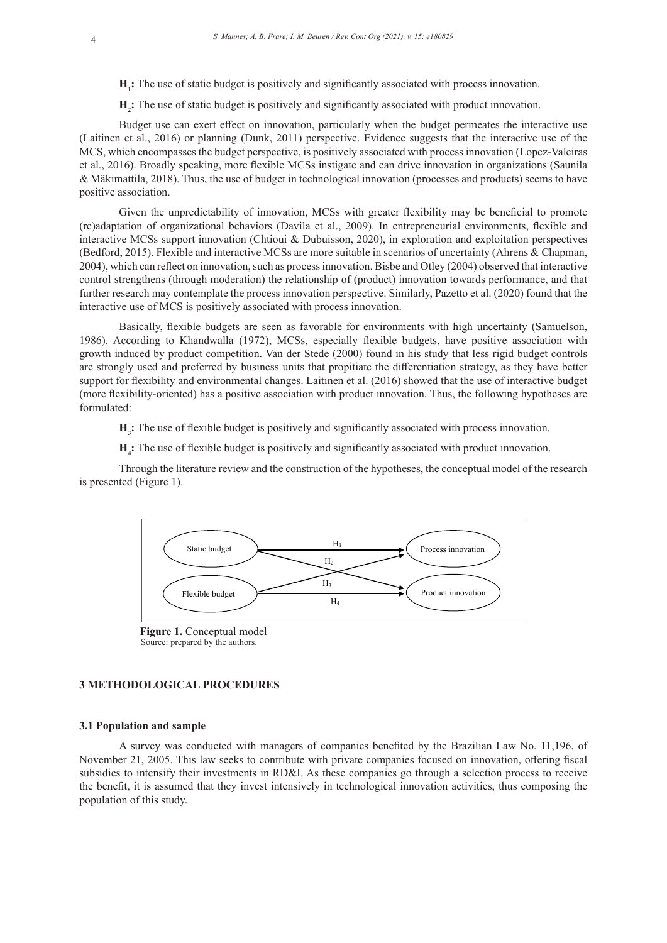- **H<sub>1</sub>:** The use of static budget is positively and significantly associated with process innovation.
- **H<sub>2</sub>**: The use of static budget is positively and significantly associated with product innovation.

Budget use can exert effect on innovation, particularly when the budget permeates the interactive use (Laitinen et al., 2016) or planning (Dunk, 2011) perspective. Evidence suggests that the interactive use of the MCS, which encompasses the budget perspective, is positively associated with process innovation (Lopez-Valeiras et al., 2016). Broadly speaking, more flexible MCSs instigate and can drive innovation in organizations (Saunila & Mäkimattila, 2018). Thus, the use of budget in technological innovation (processes and products) seems to have positive association.

Given the unpredictability of innovation, MCSs with greater flexibility may be beneficial to promote (re)adaptation of organizational behaviors (Davila et al., 2009). In entrepreneurial environments, flexible and interactive MCSs support innovation (Chtioui & Dubuisson, 2020), in exploration and exploitation perspectives (Bedford, 2015). Flexible and interactive MCSs are more suitable in scenarios of uncertainty (Ahrens & Chapman, 2004), which can reflect on innovation, such as process innovation. Bisbe and Otley (2004) observed that interactive control strengthens (through moderation) the relationship of (product) innovation towards performance, and that further research may contemplate the process innovation perspective. Similarly, Pazetto et al. (2020) found that the interactive use of MCS is positively associated with process innovation.

Basically, flexible budgets are seen as favorable for environments with high uncertainty (Samuelson, 1986). According to Khandwalla (1972), MCSs, especially flexible budgets, have positive association with growth induced by product competition. Van der Stede (2000) found in his study that less rigid budget controls are strongly used and preferred by business units that propitiate the differentiation strategy, as they have better support for flexibility and environmental changes. Laitinen et al. (2016) showed that the use of interactive budget (more flexibility-oriented) has a positive association with product innovation. Thus, the following hypotheses are formulated:

**H<sub>3</sub>:** The use of flexible budget is positively and significantly associated with process innovation.

**H4 :** The use of flexible budget is positively and significantly associated with product innovation.

Through the literature review and the construction of the hypotheses, the conceptual model of the research is presented (Figure 1).



Source: prepared by the authors. **Figure 1.** Conceptual model

### **3 METHODOLOGICAL PROCEDURES**

#### **3.1 Population and sample**

A survey was conducted with managers of companies benefited by the Brazilian Law No. 11,196, of November 21, 2005. This law seeks to contribute with private companies focused on innovation, offering fiscal subsidies to intensify their investments in RD&I. As these companies go through a selection process to receive the benefit, it is assumed that they invest intensively in technological innovation activities, thus composing the population of this study.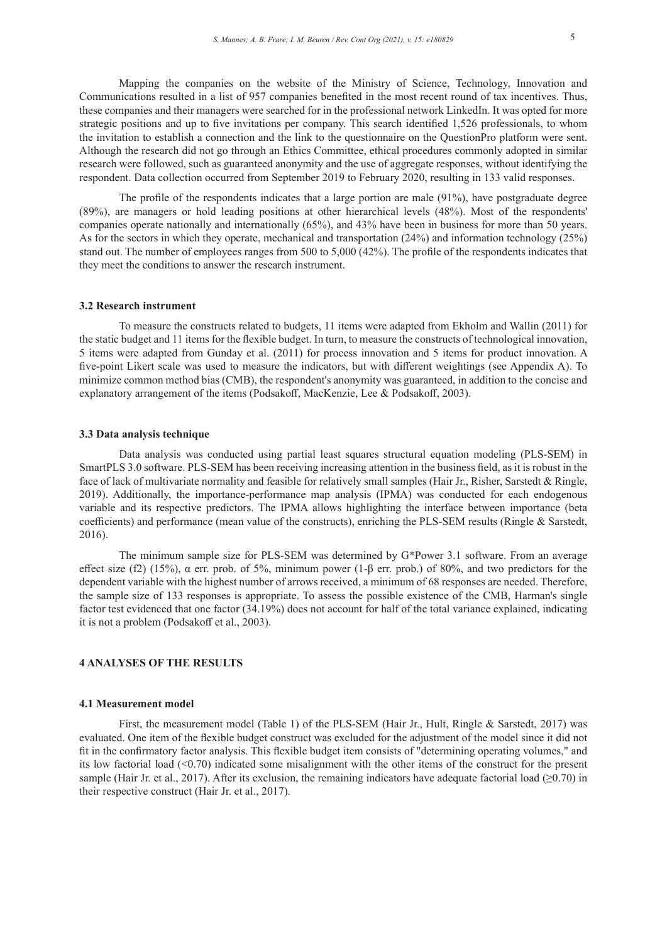Mapping the companies on the website of the Ministry of Science, Technology, Innovation and Communications resulted in a list of 957 companies benefited in the most recent round of tax incentives. Thus, these companies and their managers were searched for in the professional network LinkedIn. It was opted for more strategic positions and up to five invitations per company. This search identified 1,526 professionals, to whom the invitation to establish a connection and the link to the questionnaire on the QuestionPro platform were sent. Although the research did not go through an Ethics Committee, ethical procedures commonly adopted in similar research were followed, such as guaranteed anonymity and the use of aggregate responses, without identifying the respondent. Data collection occurred from September 2019 to February 2020, resulting in 133 valid responses.

The profile of the respondents indicates that a large portion are male (91%), have postgraduate degree (89%), are managers or hold leading positions at other hierarchical levels (48%). Most of the respondents' companies operate nationally and internationally (65%), and 43% have been in business for more than 50 years. As for the sectors in which they operate, mechanical and transportation (24%) and information technology (25%) stand out. The number of employees ranges from 500 to 5,000 (42%). The profile of the respondents indicates that they meet the conditions to answer the research instrument.

# **3.2 Research instrument**

To measure the constructs related to budgets, 11 items were adapted from Ekholm and Wallin (2011) for the static budget and 11 items for the flexible budget. In turn, to measure the constructs of technological innovation, 5 items were adapted from Gunday et al. (2011) for process innovation and 5 items for product innovation. A five-point Likert scale was used to measure the indicators, but with different weightings (see Appendix A). To minimize common method bias (CMB), the respondent's anonymity was guaranteed, in addition to the concise and explanatory arrangement of the items (Podsakoff, MacKenzie, Lee & Podsakoff, 2003).

# **3.3 Data analysis technique**

Data analysis was conducted using partial least squares structural equation modeling (PLS-SEM) in SmartPLS 3.0 software. PLS-SEM has been receiving increasing attention in the business field, as it is robust in the face of lack of multivariate normality and feasible for relatively small samples (Hair Jr., Risher, Sarstedt & Ringle, 2019). Additionally, the importance-performance map analysis (IPMA) was conducted for each endogenous variable and its respective predictors. The IPMA allows highlighting the interface between importance (beta coefficients) and performance (mean value of the constructs), enriching the PLS-SEM results (Ringle & Sarstedt, 2016).

The minimum sample size for PLS-SEM was determined by G\*Power 3.1 software. From an average effect size (f2) (15%),  $\alpha$  err. prob. of 5%, minimum power (1-β err. prob.) of 80%, and two predictors for the dependent variable with the highest number of arrows received, a minimum of 68 responses are needed. Therefore, the sample size of 133 responses is appropriate. To assess the possible existence of the CMB, Harman's single factor test evidenced that one factor (34.19%) does not account for half of the total variance explained, indicating it is not a problem (Podsakoff et al., 2003).

# **4 ANALYSES OF THE RESULTS**

#### **4.1 Measurement model**

First, the measurement model (Table 1) of the PLS-SEM (Hair Jr., Hult, Ringle & Sarstedt, 2017) was evaluated. One item of the flexible budget construct was excluded for the adjustment of the model since it did not fit in the confirmatory factor analysis. This flexible budget item consists of "determining operating volumes," and its low factorial load (<0.70) indicated some misalignment with the other items of the construct for the present sample (Hair Jr. et al., 2017). After its exclusion, the remaining indicators have adequate factorial load ( $\geq$ 0.70) in their respective construct (Hair Jr. et al., 2017).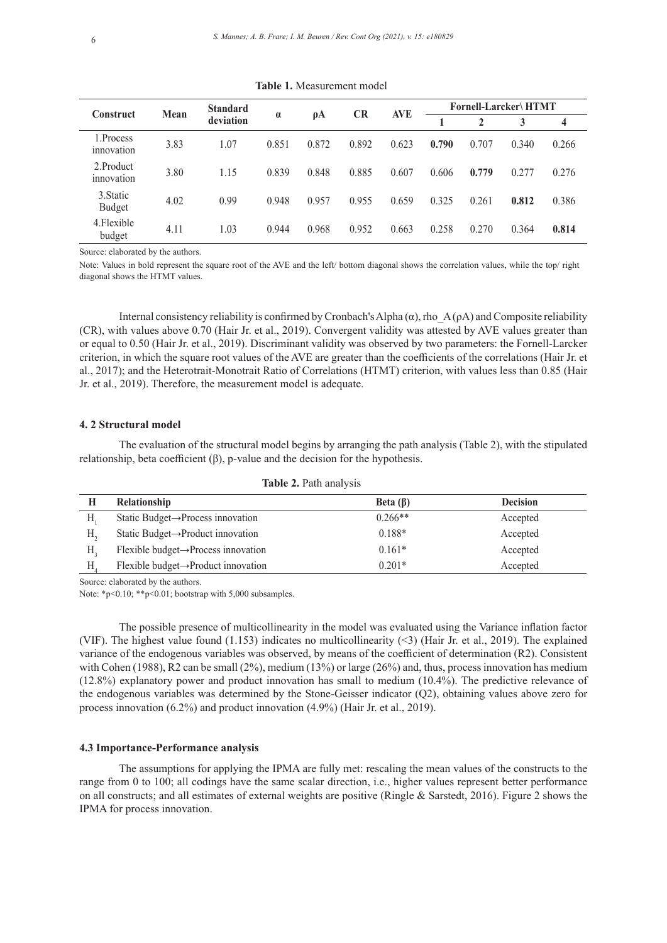| <b>Construct</b>           | Mean | <b>Standard</b><br>deviation | $\alpha$ | $\rho A$ | <b>CR</b> | <b>AVE</b> | <b>Fornell-Larcker\HTMT</b> |       |       |       |
|----------------------------|------|------------------------------|----------|----------|-----------|------------|-----------------------------|-------|-------|-------|
|                            |      |                              |          |          |           |            |                             | 2     | 3     | 4     |
| 1.Process<br>innovation    | 3.83 | 1.07                         | 0.851    | 0.872    | 0.892     | 0.623      | 0.790                       | 0.707 | 0.340 | 0.266 |
| 2.Product<br>innovation    | 3.80 | 1.15                         | 0.839    | 0.848    | 0.885     | 0.607      | 0.606                       | 0.779 | 0.277 | 0.276 |
| 3. Static<br><b>Budget</b> | 4.02 | 0.99                         | 0.948    | 0.957    | 0.955     | 0.659      | 0.325                       | 0.261 | 0.812 | 0.386 |
| 4. Flexible<br>budget      | 4.11 | 1.03                         | 0.944    | 0.968    | 0.952     | 0.663      | 0.258                       | 0.270 | 0.364 | 0.814 |

**Table 1.** Measurement model

Source: elaborated by the authors.

Note: Values in bold represent the square root of the AVE and the left/ bottom diagonal shows the correlation values, while the top/ right diagonal shows the HTMT values.

Internal consistency reliability is confirmed by Cronbach's Alpha (α), rho  $A(ρA)$  and Composite reliability (CR), with values above 0.70 (Hair Jr. et al., 2019). Convergent validity was attested by AVE values greater than or equal to 0.50 (Hair Jr. et al., 2019). Discriminant validity was observed by two parameters: the Fornell-Larcker criterion, in which the square root values of the AVE are greater than the coefficients of the correlations (Hair Jr. et al., 2017); and the Heterotrait-Monotrait Ratio of Correlations (HTMT) criterion, with values less than 0.85 (Hair Jr. et al., 2019). Therefore, the measurement model is adequate.

# **4. 2 Structural model**

The evaluation of the structural model begins by arranging the path analysis (Table 2), with the stipulated relationship, beta coefficient  $(β)$ , p-value and the decision for the hypothesis.

|  |  |  |  | <b>Table 2. Path analysis</b> |  |
|--|--|--|--|-------------------------------|--|
|--|--|--|--|-------------------------------|--|

| Relationship                                        | Beta $(\beta)$ | <b>Decision</b> |
|-----------------------------------------------------|----------------|-----------------|
| Static Budget→Process innovation                    | $0.266**$      | Accepted        |
| Static Budget→Product innovation                    | $0.188*$       | Accepted        |
| $F$ lexible budget $\rightarrow$ Process innovation | $0.161*$       | Accepted        |
| Flexible budget $\rightarrow$ Product innovation    | $0.201*$       | Accepted        |

Source: elaborated by the authors.

Note: \*p<0.10; \*\*p<0.01; bootstrap with 5,000 subsamples.

The possible presence of multicollinearity in the model was evaluated using the Variance inflation factor (VIF). The highest value found (1.153) indicates no multicollinearity (<3) (Hair Jr. et al., 2019). The explained variance of the endogenous variables was observed, by means of the coefficient of determination (R2). Consistent with Cohen (1988), R2 can be small (2%), medium (13%) or large (26%) and, thus, process innovation has medium (12.8%) explanatory power and product innovation has small to medium (10.4%). The predictive relevance of the endogenous variables was determined by the Stone-Geisser indicator (Q2), obtaining values above zero for process innovation (6.2%) and product innovation (4.9%) (Hair Jr. et al., 2019).

#### **4.3 Importance-Performance analysis**

The assumptions for applying the IPMA are fully met: rescaling the mean values of the constructs to the range from 0 to 100; all codings have the same scalar direction, i.e., higher values represent better performance on all constructs; and all estimates of external weights are positive (Ringle & Sarstedt, 2016). Figure 2 shows the IPMA for process innovation.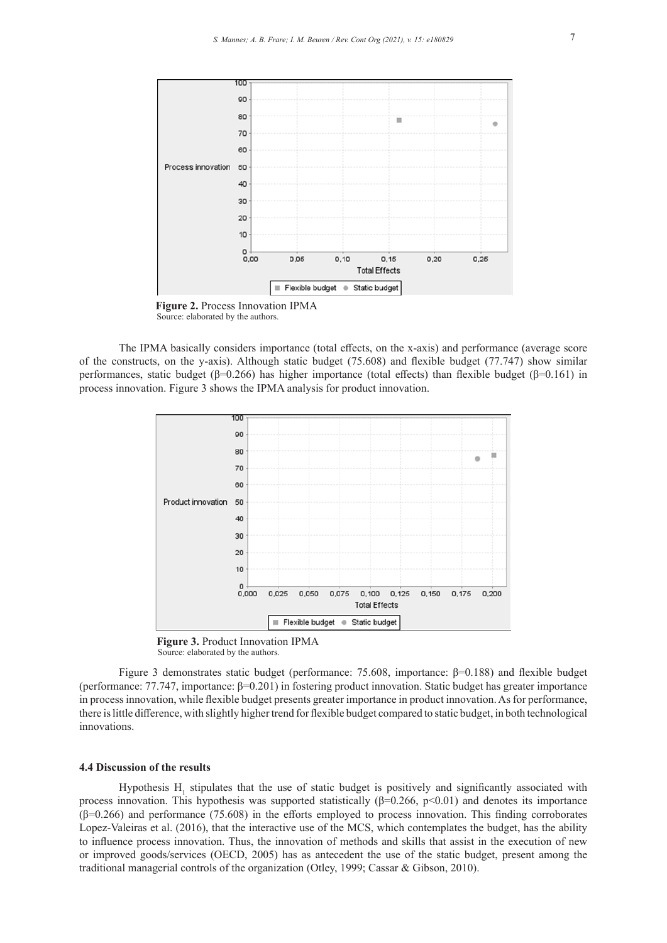

Source: elaborated by the authors. **Figure 2.** Process Innovation IPMA

The IPMA basically considers importance (total effects, on the x-axis) and performance (average score of the constructs, on the y-axis). Although static budget (75.608) and flexible budget (77.747) show similar performances, static budget (β=0.266) has higher importance (total effects) than flexible budget (β=0.161) in process innovation. Figure 3 shows the IPMA analysis for product innovation.



Source: elaborated by the authors. **Figure 3.** Product Innovation IPMA

Figure 3 demonstrates static budget (performance: 75.608, importance: β=0.188) and flexible budget (performance: 77.747, importance: β=0.201) in fostering product innovation. Static budget has greater importance in process innovation, while flexible budget presents greater importance in product innovation. As for performance, there is little difference, with slightly higher trend for flexible budget compared to static budget, in both technological innovations.

# **4.4 Discussion of the results**

Hypothesis  $H_1$  stipulates that the use of static budget is positively and significantly associated with process innovation. This hypothesis was supported statistically (β=0.266, p<0.01) and denotes its importance (β=0.266) and performance (75.608) in the efforts employed to process innovation. This finding corroborates Lopez-Valeiras et al. (2016), that the interactive use of the MCS, which contemplates the budget, has the ability to influence process innovation. Thus, the innovation of methods and skills that assist in the execution of new or improved goods/services (OECD, 2005) has as antecedent the use of the static budget, present among the traditional managerial controls of the organization (Otley, 1999; Cassar & Gibson, 2010).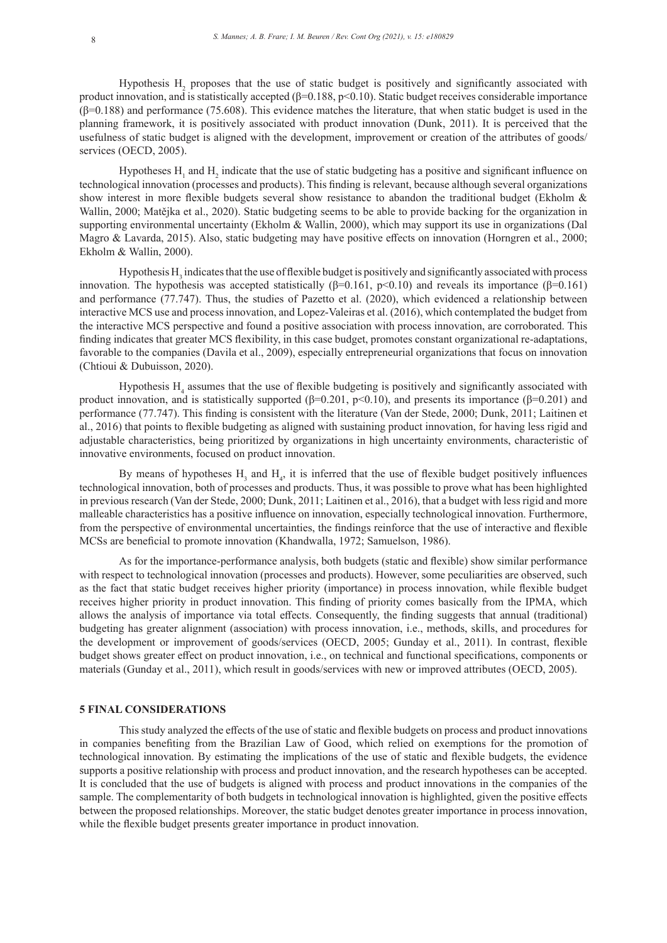Hypothesis  $H_2$  proposes that the use of static budget is positively and significantly associated with product innovation, and is statistically accepted (β=0.188, p<0.10). Static budget receives considerable importance  $(\beta=0.188)$  and performance (75.608). This evidence matches the literature, that when static budget is used in the planning framework, it is positively associated with product innovation (Dunk, 2011). It is perceived that the usefulness of static budget is aligned with the development, improvement or creation of the attributes of goods/ services (OECD, 2005).

Hypotheses  $H_1$  and  $H_2$  indicate that the use of static budgeting has a positive and significant influence on technological innovation (processes and products). This finding is relevant, because although several organizations show interest in more flexible budgets several show resistance to abandon the traditional budget (Ekholm & Wallin, 2000; Matějka et al., 2020). Static budgeting seems to be able to provide backing for the organization in supporting environmental uncertainty (Ekholm & Wallin, 2000), which may support its use in organizations (Dal Magro & Lavarda, 2015). Also, static budgeting may have positive effects on innovation (Horngren et al., 2000; Ekholm & Wallin, 2000).

Hypothesis  $H_3$  indicates that the use of flexible budget is positively and significantly associated with process innovation. The hypothesis was accepted statistically (β=0.161, p<0.10) and reveals its importance (β=0.161) and performance (77.747). Thus, the studies of Pazetto et al. (2020), which evidenced a relationship between interactive MCS use and process innovation, and Lopez-Valeiras et al. (2016), which contemplated the budget from the interactive MCS perspective and found a positive association with process innovation, are corroborated. This finding indicates that greater MCS flexibility, in this case budget, promotes constant organizational re-adaptations, favorable to the companies (Davila et al., 2009), especially entrepreneurial organizations that focus on innovation (Chtioui & Dubuisson, 2020).

Hypothesis  $H_4$  assumes that the use of flexible budgeting is positively and significantly associated with product innovation, and is statistically supported (β=0.201, p<0.10), and presents its importance (β=0.201) and performance (77.747). This finding is consistent with the literature (Van der Stede, 2000; Dunk, 2011; Laitinen et al., 2016) that points to flexible budgeting as aligned with sustaining product innovation, for having less rigid and adjustable characteristics, being prioritized by organizations in high uncertainty environments, characteristic of innovative environments, focused on product innovation.

By means of hypotheses  $H_3$  and  $H_4$ , it is inferred that the use of flexible budget positively influences technological innovation, both of processes and products. Thus, it was possible to prove what has been highlighted in previous research (Van der Stede, 2000; Dunk, 2011; Laitinen et al., 2016), that a budget with less rigid and more malleable characteristics has a positive influence on innovation, especially technological innovation. Furthermore, from the perspective of environmental uncertainties, the findings reinforce that the use of interactive and flexible MCSs are beneficial to promote innovation (Khandwalla, 1972; Samuelson, 1986).

As for the importance-performance analysis, both budgets (static and flexible) show similar performance with respect to technological innovation (processes and products). However, some peculiarities are observed, such as the fact that static budget receives higher priority (importance) in process innovation, while flexible budget receives higher priority in product innovation. This finding of priority comes basically from the IPMA, which allows the analysis of importance via total effects. Consequently, the finding suggests that annual (traditional) budgeting has greater alignment (association) with process innovation, i.e., methods, skills, and procedures for the development or improvement of goods/services (OECD, 2005; Gunday et al., 2011). In contrast, flexible budget shows greater effect on product innovation, i.e., on technical and functional specifications, components or materials (Gunday et al., 2011), which result in goods/services with new or improved attributes (OECD, 2005).

#### **5 FINAL CONSIDERATIONS**

This study analyzed the effects of the use of static and flexible budgets on process and product innovations in companies benefiting from the Brazilian Law of Good, which relied on exemptions for the promotion of technological innovation. By estimating the implications of the use of static and flexible budgets, the evidence supports a positive relationship with process and product innovation, and the research hypotheses can be accepted. It is concluded that the use of budgets is aligned with process and product innovations in the companies of the sample. The complementarity of both budgets in technological innovation is highlighted, given the positive effects between the proposed relationships. Moreover, the static budget denotes greater importance in process innovation, while the flexible budget presents greater importance in product innovation.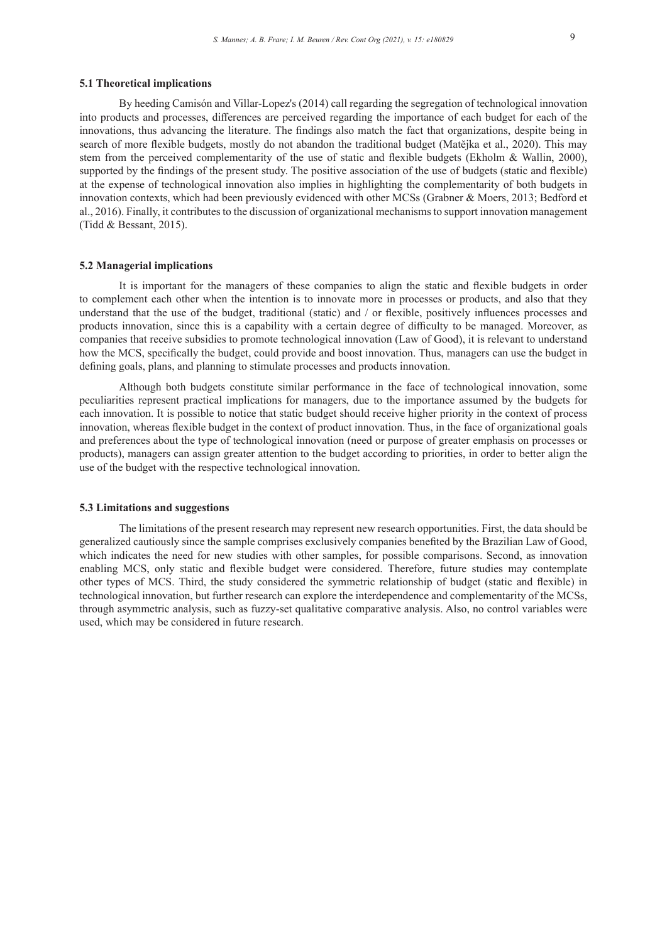#### **5.1 Theoretical implications**

By heeding Camisón and Villar-Lopez's (2014) call regarding the segregation of technological innovation into products and processes, differences are perceived regarding the importance of each budget for each of the innovations, thus advancing the literature. The findings also match the fact that organizations, despite being in search of more flexible budgets, mostly do not abandon the traditional budget (Matějka et al., 2020). This may stem from the perceived complementarity of the use of static and flexible budgets (Ekholm & Wallin, 2000), supported by the findings of the present study. The positive association of the use of budgets (static and flexible) at the expense of technological innovation also implies in highlighting the complementarity of both budgets in innovation contexts, which had been previously evidenced with other MCSs (Grabner & Moers, 2013; Bedford et al., 2016). Finally, it contributes to the discussion of organizational mechanisms to support innovation management (Tidd & Bessant, 2015).

# **5.2 Managerial implications**

It is important for the managers of these companies to align the static and flexible budgets in order to complement each other when the intention is to innovate more in processes or products, and also that they understand that the use of the budget, traditional (static) and / or flexible, positively influences processes and products innovation, since this is a capability with a certain degree of difficulty to be managed. Moreover, as companies that receive subsidies to promote technological innovation (Law of Good), it is relevant to understand how the MCS, specifically the budget, could provide and boost innovation. Thus, managers can use the budget in defining goals, plans, and planning to stimulate processes and products innovation.

Although both budgets constitute similar performance in the face of technological innovation, some peculiarities represent practical implications for managers, due to the importance assumed by the budgets for each innovation. It is possible to notice that static budget should receive higher priority in the context of process innovation, whereas flexible budget in the context of product innovation. Thus, in the face of organizational goals and preferences about the type of technological innovation (need or purpose of greater emphasis on processes or products), managers can assign greater attention to the budget according to priorities, in order to better align the use of the budget with the respective technological innovation.

# **5.3 Limitations and suggestions**

The limitations of the present research may represent new research opportunities. First, the data should be generalized cautiously since the sample comprises exclusively companies benefited by the Brazilian Law of Good, which indicates the need for new studies with other samples, for possible comparisons. Second, as innovation enabling MCS, only static and flexible budget were considered. Therefore, future studies may contemplate other types of MCS. Third, the study considered the symmetric relationship of budget (static and flexible) in technological innovation, but further research can explore the interdependence and complementarity of the MCSs, through asymmetric analysis, such as fuzzy-set qualitative comparative analysis. Also, no control variables were used, which may be considered in future research.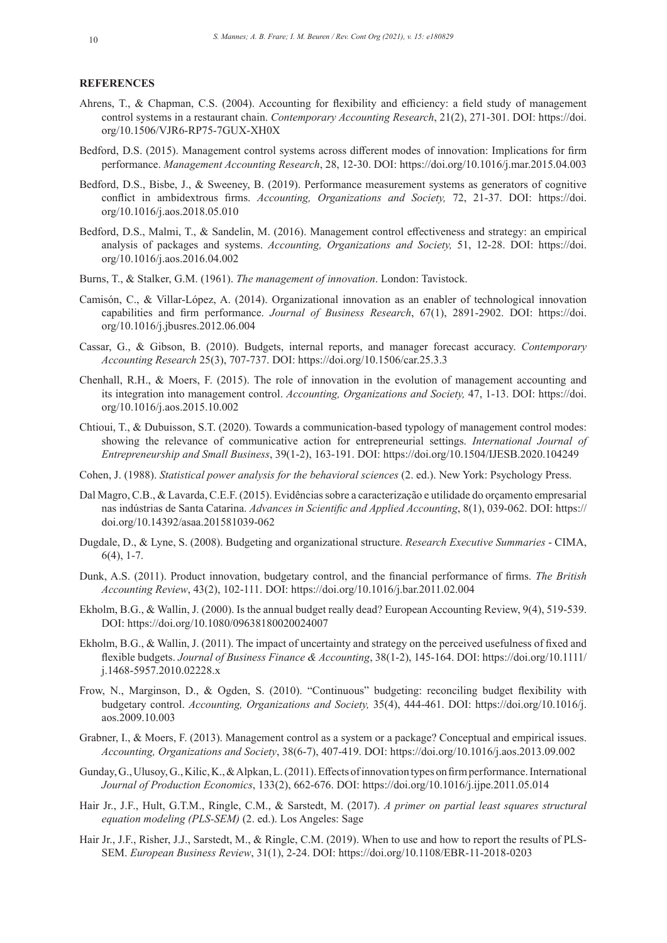#### **REFERENCES**

- Ahrens, T., & Chapman, C.S. (2004). Accounting for flexibility and efficiency: a field study of management control systems in a restaurant chain. *Contemporary Accounting Research*, 21(2), 271-301. DOI: https://doi. org/10.1506/VJR6-RP75-7GUX-XH0X
- Bedford, D.S. (2015). Management control systems across different modes of innovation: Implications for firm performance. *Management Accounting Research*, 28, 12-30. DOI: https://doi.org/10.1016/j.mar.2015.04.003
- Bedford, D.S., Bisbe, J., & Sweeney, B. (2019). Performance measurement systems as generators of cognitive conflict in ambidextrous firms. *Accounting, Organizations and Society,* 72, 21-37. DOI: https://doi. org/10.1016/j.aos.2018.05.010
- Bedford, D.S., Malmi, T., & Sandelin, M. (2016). Management control effectiveness and strategy: an empirical analysis of packages and systems. *Accounting, Organizations and Society,* 51, 12-28. DOI: https://doi. org/10.1016/j.aos.2016.04.002
- Burns, T., & Stalker, G.M. (1961). *The management of innovation*. London: Tavistock.
- Camisón, C., & Villar-López, A. (2014). Organizational innovation as an enabler of technological innovation capabilities and firm performance. *Journal of Business Research*, 67(1), 2891-2902. DOI: https://doi. org/10.1016/j.jbusres.2012.06.004
- Cassar, G., & Gibson, B. (2010). Budgets, internal reports, and manager forecast accuracy. *Contemporary Accounting Research* 25(3), 707-737. DOI: https://doi.org/10.1506/car.25.3.3
- Chenhall, R.H., & Moers, F. (2015). The role of innovation in the evolution of management accounting and its integration into management control. *Accounting, Organizations and Society,* 47, 1-13. DOI: https://doi. org/10.1016/j.aos.2015.10.002
- Chtioui, T., & Dubuisson, S.T. (2020). Towards a communication-based typology of management control modes: showing the relevance of communicative action for entrepreneurial settings. *International Journal of Entrepreneurship and Small Business*, 39(1-2), 163-191. DOI: https://doi.org/10.1504/IJESB.2020.104249
- Cohen, J. (1988). *Statistical power analysis for the behavioral sciences* (2. ed.). New York: Psychology Press.
- Dal Magro, C.B., & Lavarda, C.E.F. (2015). Evidências sobre a caracterização e utilidade do orçamento empresarial nas indústrias de Santa Catarina. *Advances in Scientific and Applied Accounting*, 8(1), 039-062. DOI: https:// doi.org/10.14392/asaa.201581039-062
- Dugdale, D., & Lyne, S. (2008). Budgeting and organizational structure. *Research Executive Summaries* CIMA, 6(4), 1-7.
- Dunk, A.S. (2011). Product innovation, budgetary control, and the financial performance of firms. *The British Accounting Review*, 43(2), 102-111. DOI: https://doi.org/10.1016/j.bar.2011.02.004
- Ekholm, B.G., & Wallin, J. (2000). Is the annual budget really dead? European Accounting Review, 9(4), 519-539. DOI: https://doi.org/10.1080/09638180020024007
- Ekholm, B.G., & Wallin, J. (2011). The impact of uncertainty and strategy on the perceived usefulness of fixed and flexible budgets. *Journal of Business Finance & Accounting*, 38(1‐2), 145-164. DOI: https://doi.org/10.1111/ j.1468-5957.2010.02228.x
- Frow, N., Marginson, D., & Ogden, S. (2010). "Continuous" budgeting: reconciling budget flexibility with budgetary control. *Accounting, Organizations and Society,* 35(4), 444-461. DOI: https://doi.org/10.1016/j. aos.2009.10.003
- Grabner, I., & Moers, F. (2013). Management control as a system or a package? Conceptual and empirical issues. *Accounting, Organizations and Society*, 38(6-7), 407-419. DOI: https://doi.org/10.1016/j.aos.2013.09.002
- Gunday, G., Ulusoy, G., Kilic, K., & Alpkan, L. (2011). Effects of innovation types on firm performance. International *Journal of Production Economics*, 133(2), 662-676. DOI: https://doi.org/10.1016/j.ijpe.2011.05.014
- Hair Jr., J.F., Hult, G.T.M., Ringle, C.M., & Sarstedt, M. (2017). *A primer on partial least squares structural equation modeling (PLS-SEM)* (2. ed.). Los Angeles: Sage
- Hair Jr., J.F., Risher, J.J., Sarstedt, M., & Ringle, C.M. (2019). When to use and how to report the results of PLS-SEM. *European Business Review*, 31(1), 2-24. DOI: https://doi.org/10.1108/EBR-11-2018-0203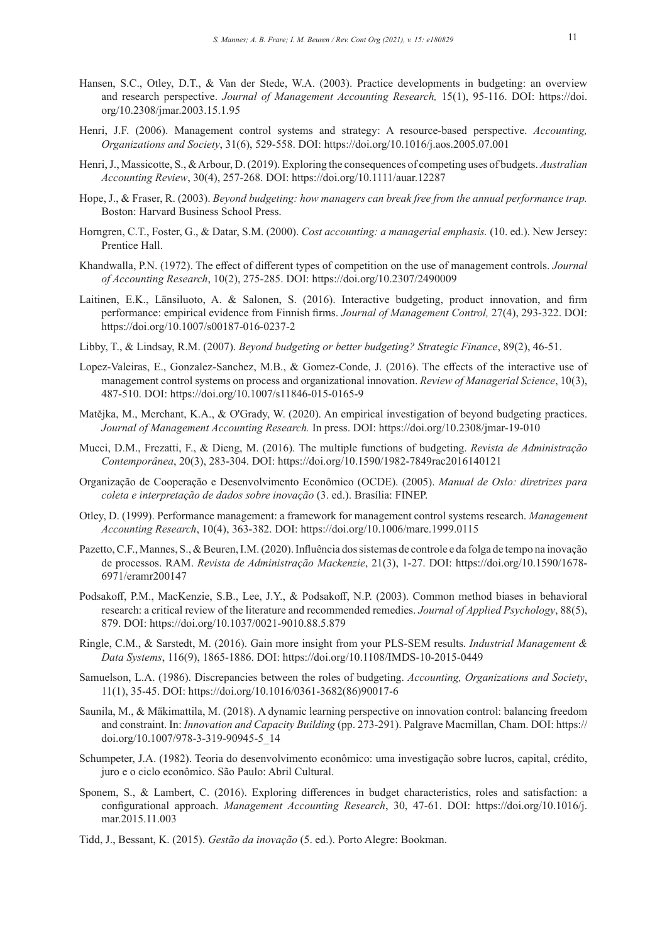- Hansen, S.C., Otley, D.T., & Van der Stede, W.A. (2003). Practice developments in budgeting: an overview and research perspective. *Journal of Management Accounting Research,* 15(1), 95-116. DOI: https://doi. org/10.2308/jmar.2003.15.1.95
- Henri, J.F. (2006). Management control systems and strategy: A resource-based perspective. *Accounting, Organizations and Society*, 31(6), 529-558. DOI: https://doi.org/10.1016/j.aos.2005.07.001
- Henri, J., Massicotte, S., & Arbour, D. (2019). Exploring the consequences of competing uses of budgets. *Australian Accounting Review*, 30(4), 257-268. DOI: https://doi.org/10.1111/auar.12287
- Hope, J., & Fraser, R. (2003). *Beyond budgeting: how managers can break free from the annual performance trap.*  Boston: Harvard Business School Press.
- Horngren, C.T., Foster, G., & Datar, S.M. (2000). *Cost accounting: a managerial emphasis.* (10. ed.). New Jersey: Prentice Hall.
- Khandwalla, P.N. (1972). The effect of different types of competition on the use of management controls. *Journal of Accounting Research*, 10(2), 275-285. DOI: https://doi.org/10.2307/2490009
- Laitinen, E.K., Länsiluoto, A. & Salonen, S. (2016). Interactive budgeting, product innovation, and firm performance: empirical evidence from Finnish firms. *Journal of Management Control,* 27(4), 293-322. DOI: https://doi.org/10.1007/s00187-016-0237-2
- Libby, T., & Lindsay, R.M. (2007). *Beyond budgeting or better budgeting? Strategic Finance*, 89(2), 46-51.
- Lopez-Valeiras, E., Gonzalez-Sanchez, M.B., & Gomez-Conde, J. (2016). The effects of the interactive use of management control systems on process and organizational innovation. *Review of Managerial Science*, 10(3), 487-510. DOI: https://doi.org/10.1007/s11846-015-0165-9
- Matějka, M., Merchant, K.A., & O'Grady, W. (2020). An empirical investigation of beyond budgeting practices. *Journal of Management Accounting Research.* In press. DOI: https://doi.org/10.2308/jmar-19-010
- Mucci, D.M., Frezatti, F., & Dieng, M. (2016). The multiple functions of budgeting. *Revista de Administração Contemporânea*, 20(3), 283-304. DOI: https://doi.org/10.1590/1982-7849rac2016140121
- Organização de Cooperação e Desenvolvimento Econômico (OCDE). (2005). *Manual de Oslo: diretrizes para coleta e interpretação de dados sobre inovação* (3. ed.). Brasília: FINEP.
- Otley, D. (1999). Performance management: a framework for management control systems research. *Management Accounting Research*, 10(4), 363-382. DOI: https://doi.org/10.1006/mare.1999.0115
- Pazetto, C.F., Mannes, S., & Beuren, I.M. (2020). Influência dos sistemas de controle e da folga de tempo na inovação de processos. RAM. *Revista de Administração Mackenzie*, 21(3), 1-27. DOI: https://doi.org/10.1590/1678- 6971/eramr200147
- Podsakoff, P.M., MacKenzie, S.B., Lee, J.Y., & Podsakoff, N.P. (2003). Common method biases in behavioral research: a critical review of the literature and recommended remedies. *Journal of Applied Psychology*, 88(5), 879. DOI: https://doi.org/10.1037/0021-9010.88.5.879
- Ringle, C.M., & Sarstedt, M. (2016). Gain more insight from your PLS-SEM results. *Industrial Management & Data Systems*, 116(9), 1865-1886. DOI: https://doi.org/10.1108/IMDS-10-2015-0449
- Samuelson, L.A. (1986). Discrepancies between the roles of budgeting. *Accounting, Organizations and Society*, 11(1), 35-45. DOI: https://doi.org/10.1016/0361-3682(86)90017-6
- Saunila, M., & Mäkimattila, M. (2018). A dynamic learning perspective on innovation control: balancing freedom and constraint. In: *Innovation and Capacity Building* (pp. 273-291). Palgrave Macmillan, Cham. DOI: https:// doi.org/10.1007/978-3-319-90945-5\_14
- Schumpeter, J.A. (1982). Teoria do desenvolvimento econômico: uma investigação sobre lucros, capital, crédito, juro e o ciclo econômico. São Paulo: Abril Cultural.
- Sponem, S., & Lambert, C. (2016). Exploring differences in budget characteristics, roles and satisfaction: a configurational approach. *Management Accounting Research*, 30, 47-61. DOI: https://doi.org/10.1016/j. mar.2015.11.003
- Tidd, J., Bessant, K. (2015). *Gestão da inovação* (5. ed.). Porto Alegre: Bookman.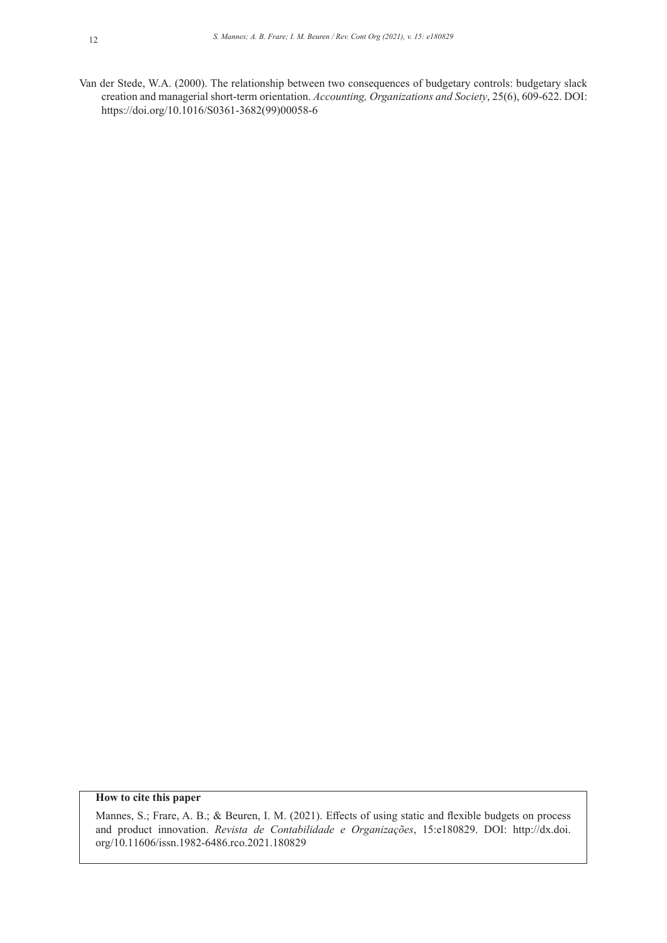Van der Stede, W.A. (2000). The relationship between two consequences of budgetary controls: budgetary slack creation and managerial short-term orientation. *Accounting, Organizations and Society*, 25(6), 609-622. DOI: https://doi.org/10.1016/S0361-3682(99)00058-6

# **How to cite this paper**

Mannes, S.; Frare, A. B.; & Beuren, I. M. (2021). Effects of using static and flexible budgets on process and product innovation. *Revista de Contabilidade e Organizações*, 15:e180829. DOI: http://dx.doi. org/10.11606/issn.1982-6486.rco.2021.180829